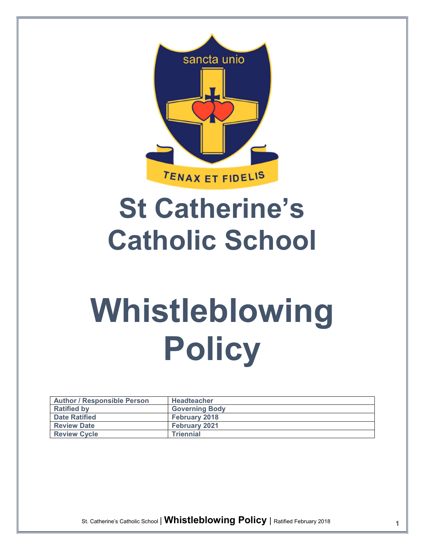

# St Catherine's Catholic School

# Whistleblowing Policy

| <b>Author / Responsible Person</b> | <b>Headteacher</b>    |
|------------------------------------|-----------------------|
| <b>Ratified by</b>                 | <b>Governing Body</b> |
| <b>Date Ratified</b>               | <b>February 2018</b>  |
| <b>Review Date</b>                 | February 2021         |
| <b>Review Cycle</b>                | <b>Triennial</b>      |

St. Catherine's Catholic School | Whistleblowing Policy | Ratified February 2018 1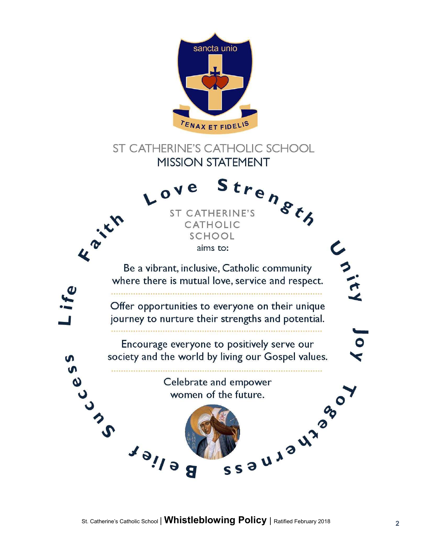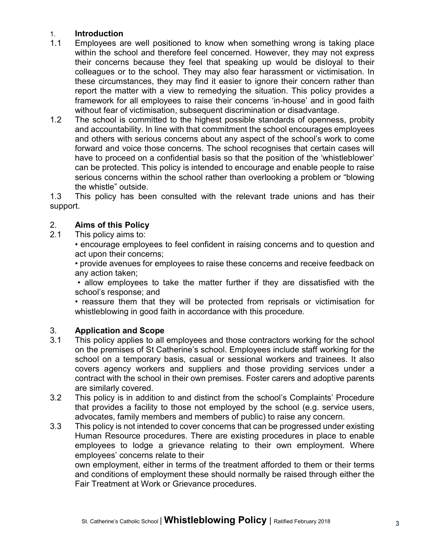# 1. Introduction

- 1.1 Employees are well positioned to know when something wrong is taking place within the school and therefore feel concerned. However, they may not express their concerns because they feel that speaking up would be disloyal to their colleagues or to the school. They may also fear harassment or victimisation. In these circumstances, they may find it easier to ignore their concern rather than report the matter with a view to remedying the situation. This policy provides a framework for all employees to raise their concerns 'in-house' and in good faith without fear of victimisation, subsequent discrimination or disadvantage.
- 1.2 The school is committed to the highest possible standards of openness, probity and accountability. In line with that commitment the school encourages employees and others with serious concerns about any aspect of the school's work to come forward and voice those concerns. The school recognises that certain cases will have to proceed on a confidential basis so that the position of the 'whistleblower' can be protected. This policy is intended to encourage and enable people to raise serious concerns within the school rather than overlooking a problem or "blowing the whistle" outside.

1.3 This policy has been consulted with the relevant trade unions and has their support.

#### 2. Aims of this Policy

2.1 This policy aims to:

• encourage employees to feel confident in raising concerns and to question and act upon their concerns;

• provide avenues for employees to raise these concerns and receive feedback on any action taken;

• allow employees to take the matter further if they are dissatisfied with the school's response; and

• reassure them that they will be protected from reprisals or victimisation for whistleblowing in good faith in accordance with this procedure.

# 3. Application and Scope

- 3.1 This policy applies to all employees and those contractors working for the school on the premises of St Catherine's school. Employees include staff working for the school on a temporary basis, casual or sessional workers and trainees. It also covers agency workers and suppliers and those providing services under a contract with the school in their own premises. Foster carers and adoptive parents are similarly covered.
- 3.2 This policy is in addition to and distinct from the school's Complaints' Procedure that provides a facility to those not employed by the school (e.g. service users, advocates, family members and members of public) to raise any concern.
- 3.3 This policy is not intended to cover concerns that can be progressed under existing Human Resource procedures. There are existing procedures in place to enable employees to lodge a grievance relating to their own employment. Where employees' concerns relate to their

own employment, either in terms of the treatment afforded to them or their terms and conditions of employment these should normally be raised through either the Fair Treatment at Work or Grievance procedures.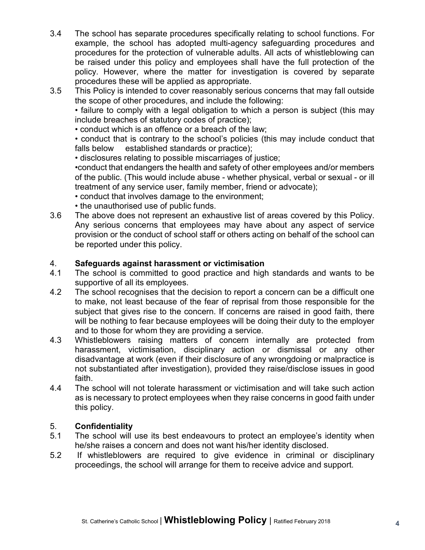- 3.4 The school has separate procedures specifically relating to school functions. For example, the school has adopted multi-agency safeguarding procedures and procedures for the protection of vulnerable adults. All acts of whistleblowing can be raised under this policy and employees shall have the full protection of the policy. However, where the matter for investigation is covered by separate procedures these will be applied as appropriate.
- 3.5 This Policy is intended to cover reasonably serious concerns that may fall outside the scope of other procedures, and include the following:

• failure to comply with a legal obligation to which a person is subject (this may include breaches of statutory codes of practice);

• conduct which is an offence or a breach of the law;

• conduct that is contrary to the school's policies (this may include conduct that falls below established standards or practice);

• disclosures relating to possible miscarriages of justice;

•conduct that endangers the health and safety of other employees and/or members of the public. (This would include abuse - whether physical, verbal or sexual - or ill treatment of any service user, family member, friend or advocate);

- conduct that involves damage to the environment;
- the unauthorised use of public funds.
- 3.6 The above does not represent an exhaustive list of areas covered by this Policy. Any serious concerns that employees may have about any aspect of service provision or the conduct of school staff or others acting on behalf of the school can be reported under this policy.

#### 4. Safeguards against harassment or victimisation

- 4.1 The school is committed to good practice and high standards and wants to be supportive of all its employees.
- 4.2 The school recognises that the decision to report a concern can be a difficult one to make, not least because of the fear of reprisal from those responsible for the subject that gives rise to the concern. If concerns are raised in good faith, there will be nothing to fear because employees will be doing their duty to the employer and to those for whom they are providing a service.
- 4.3 Whistleblowers raising matters of concern internally are protected from harassment, victimisation, disciplinary action or dismissal or any other disadvantage at work (even if their disclosure of any wrongdoing or malpractice is not substantiated after investigation), provided they raise/disclose issues in good faith.
- 4.4 The school will not tolerate harassment or victimisation and will take such action as is necessary to protect employees when they raise concerns in good faith under this policy.

# 5. Confidentiality

- 5.1 The school will use its best endeavours to protect an employee's identity when he/she raises a concern and does not want his/her identity disclosed.
- 5.2 If whistleblowers are required to give evidence in criminal or disciplinary proceedings, the school will arrange for them to receive advice and support.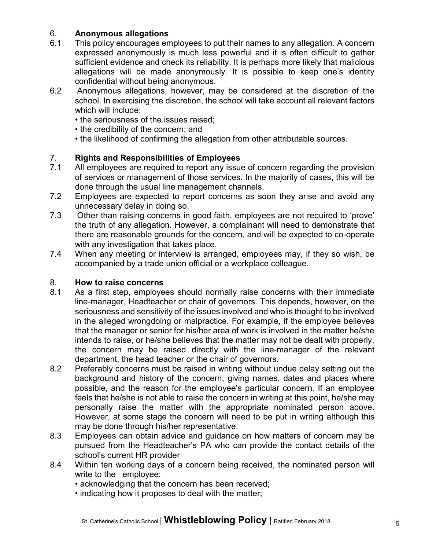# 6. Anonymous allegations

- 6.1 This policy encourages employees to put their names to any allegation. A concern expressed anonymously is much less powerful and it is often difficult to gather sufficient evidence and check its reliability. It is perhaps more likely that malicious allegations will be made anonymously. It is possible to keep one's identity confidential without being anonymous.
- 6.2 Anonymous allegations, however, may be considered at the discretion of the school. In exercising the discretion, the school will take account all relevant factors which will include:
	- the seriousness of the issues raised;
	- the credibility of the concern; and
	- the likelihood of confirming the allegation from other attributable sources.

# 7. Rights and Responsibilities of Employees

- 7.1 All employees are required to report any issue of concern regarding the provision of services or management of those services. In the majority of cases, this will be done through the usual line management channels.
- 7.2 Employees are expected to report concerns as soon they arise and avoid any unnecessary delay in doing so.
- 7.3 Other than raising concerns in good faith, employees are not required to 'prove' the truth of any allegation. However, a complainant will need to demonstrate that there are reasonable grounds for the concern, and will be expected to co-operate with any investigation that takes place.
- 7.4 When any meeting or interview is arranged, employees may, if they so wish, be accompanied by a trade union official or a workplace colleague.

#### 8. How to raise concerns

- 8.1 As a first step, employees should normally raise concerns with their immediate line-manager, Headteacher or chair of governors. This depends, however, on the seriousness and sensitivity of the issues involved and who is thought to be involved in the alleged wrongdoing or malpractice. For example, if the employee believes that the manager or senior for his/her area of work is involved in the matter he/she intends to raise, or he/she believes that the matter may not be dealt with properly, the concern may be raised directly with the line-manager of the relevant department, the head teacher or the chair of governors.
- 8.2 Preferably concerns must be raised in writing without undue delay setting out the background and history of the concern, giving names, dates and places where possible, and the reason for the employee's particular concern. If an employee feels that he/she is not able to raise the concern in writing at this point, he/she may personally raise the matter with the appropriate nominated person above. However, at some stage the concern will need to be put in writing although this may be done through his/her representative.
- 8.3 Employees can obtain advice and guidance on how matters of concern may be pursued from the Headteacher's PA who can provide the contact details of the school's current HR provider
- 8.4 Within ten working days of a concern being received, the nominated person will write to the employee:
	- acknowledging that the concern has been received;
	- indicating how it proposes to deal with the matter;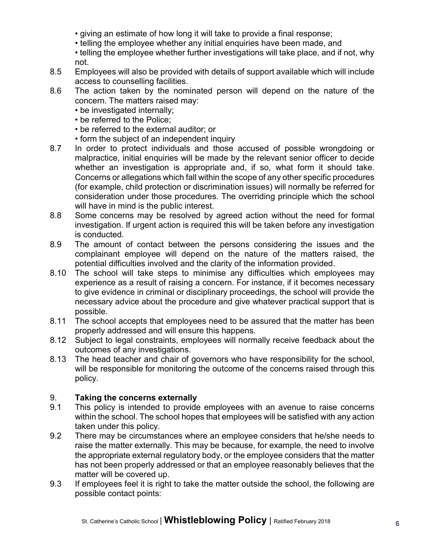- giving an estimate of how long it will take to provide a final response;
- telling the employee whether any initial enquiries have been made, and
- telling the employee whether further investigations will take place, and if not, why not.
- 8.5 Employees will also be provided with details of support available which will include access to counselling facilities.
- 8.6 The action taken by the nominated person will depend on the nature of the concern. The matters raised may:
	- be investigated internally;
	- be referred to the Police;
	- be referred to the external auditor; or
	- form the subject of an independent inquiry
- 8.7 In order to protect individuals and those accused of possible wrongdoing or malpractice, initial enquiries will be made by the relevant senior officer to decide whether an investigation is appropriate and, if so, what form it should take. Concerns or allegations which fall within the scope of any other specific procedures (for example, child protection or discrimination issues) will normally be referred for consideration under those procedures. The overriding principle which the school will have in mind is the public interest.
- 8.8 Some concerns may be resolved by agreed action without the need for formal investigation. If urgent action is required this will be taken before any investigation is conducted.
- 8.9 The amount of contact between the persons considering the issues and the complainant employee will depend on the nature of the matters raised, the potential difficulties involved and the clarity of the information provided.
- 8.10 The school will take steps to minimise any difficulties which employees may experience as a result of raising a concern. For instance, if it becomes necessary to give evidence in criminal or disciplinary proceedings, the school will provide the necessary advice about the procedure and give whatever practical support that is possible.
- 8.11 The school accepts that employees need to be assured that the matter has been properly addressed and will ensure this happens.
- 8.12 Subject to legal constraints, employees will normally receive feedback about the outcomes of any investigations.
- 8.13 The head teacher and chair of governors who have responsibility for the school, will be responsible for monitoring the outcome of the concerns raised through this policy.

# 9. Taking the concerns externally

- 9.1 This policy is intended to provide employees with an avenue to raise concerns within the school. The school hopes that employees will be satisfied with any action taken under this policy.
- 9.2 There may be circumstances where an employee considers that he/she needs to raise the matter externally. This may be because, for example, the need to involve the appropriate external regulatory body, or the employee considers that the matter has not been properly addressed or that an employee reasonably believes that the matter will be covered up.
- 9.3 If employees feel it is right to take the matter outside the school, the following are possible contact points: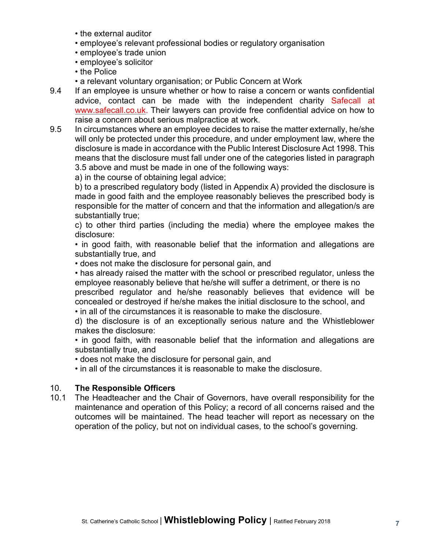- the external auditor
- employee's relevant professional bodies or regulatory organisation
- employee's trade union
- employee's solicitor
- the Police
- a relevant voluntary organisation; or Public Concern at Work
- 9.4 If an employee is unsure whether or how to raise a concern or wants confidential advice, contact can be made with the independent charity Safecall at www.safecall.co.uk. Their lawyers can provide free confidential advice on how to raise a concern about serious malpractice at work.
- 9.5 In circumstances where an employee decides to raise the matter externally, he/she will only be protected under this procedure, and under employment law, where the disclosure is made in accordance with the Public Interest Disclosure Act 1998. This means that the disclosure must fall under one of the categories listed in paragraph 3.5 above and must be made in one of the following ways:

a) in the course of obtaining legal advice;

b) to a prescribed regulatory body (listed in Appendix A) provided the disclosure is made in good faith and the employee reasonably believes the prescribed body is responsible for the matter of concern and that the information and allegation/s are substantially true;

c) to other third parties (including the media) where the employee makes the disclosure:

• in good faith, with reasonable belief that the information and allegations are substantially true, and

• does not make the disclosure for personal gain, and

• has already raised the matter with the school or prescribed regulator, unless the employee reasonably believe that he/she will suffer a detriment, or there is no

prescribed regulator and he/she reasonably believes that evidence will be concealed or destroyed if he/she makes the initial disclosure to the school, and • in all of the circumstances it is reasonable to make the disclosure.

d) the disclosure is of an exceptionally serious nature and the Whistleblower makes the disclosure:

• in good faith, with reasonable belief that the information and allegations are substantially true, and

• does not make the disclosure for personal gain, and

• in all of the circumstances it is reasonable to make the disclosure.

# 10. The Responsible Officers

10.1 The Headteacher and the Chair of Governors, have overall responsibility for the maintenance and operation of this Policy; a record of all concerns raised and the outcomes will be maintained. The head teacher will report as necessary on the operation of the policy, but not on individual cases, to the school's governing.